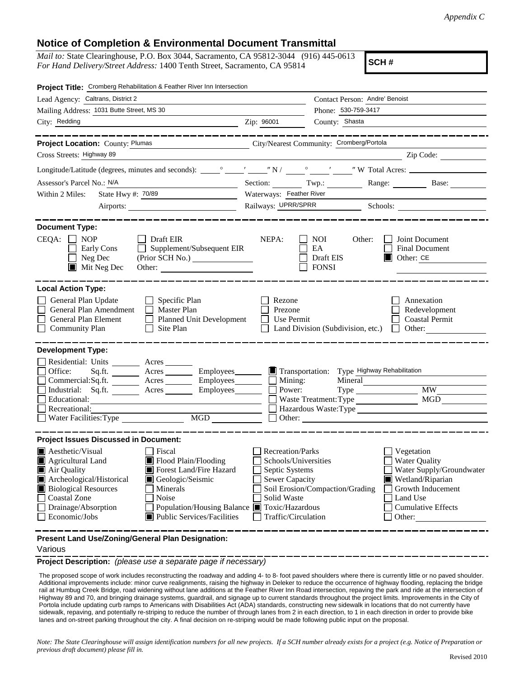## **Notice of Completion & Environmental Document Transmittal**

*Mail to:* State Clearinghouse, P.O. Box 3044, Sacramento, CA 95812-3044 (916) 445-0613 *For Hand Delivery/Street Address:* 1400 Tenth Street, Sacramento, CA 95814

**SCH #**

| Project Title: Cromberg Rehabilitation & Feather River Inn Intersection                                                                                                                                                                                                                                                                                                                                                                                                      |                                                                                                                                                                                                                                                                                                                                                                                                                                                                                 |  |
|------------------------------------------------------------------------------------------------------------------------------------------------------------------------------------------------------------------------------------------------------------------------------------------------------------------------------------------------------------------------------------------------------------------------------------------------------------------------------|---------------------------------------------------------------------------------------------------------------------------------------------------------------------------------------------------------------------------------------------------------------------------------------------------------------------------------------------------------------------------------------------------------------------------------------------------------------------------------|--|
| Lead Agency: Caltrans, District 2                                                                                                                                                                                                                                                                                                                                                                                                                                            | Contact Person: Andre' Benoist                                                                                                                                                                                                                                                                                                                                                                                                                                                  |  |
| Mailing Address: 1031 Butte Street, MS 30                                                                                                                                                                                                                                                                                                                                                                                                                                    | Phone: 530-759-3417                                                                                                                                                                                                                                                                                                                                                                                                                                                             |  |
| City: Redding                                                                                                                                                                                                                                                                                                                                                                                                                                                                | County: Shasta<br>Zip: 96001                                                                                                                                                                                                                                                                                                                                                                                                                                                    |  |
|                                                                                                                                                                                                                                                                                                                                                                                                                                                                              |                                                                                                                                                                                                                                                                                                                                                                                                                                                                                 |  |
| Project Location: County: Plumas                                                                                                                                                                                                                                                                                                                                                                                                                                             | City/Nearest Community: Cromberg/Portola                                                                                                                                                                                                                                                                                                                                                                                                                                        |  |
| Cross Streets: Highway 89                                                                                                                                                                                                                                                                                                                                                                                                                                                    | $\overline{\phantom{a}}$ $\overline{\phantom{a}}$ $\overline{\phantom{a}}$ $\overline{\phantom{a}}$ $\overline{\phantom{a}}$ $\overline{\phantom{a}}$ $\overline{\phantom{a}}$ $\overline{\phantom{a}}$ $\overline{\phantom{a}}$ $\overline{\phantom{a}}$ $\overline{\phantom{a}}$ $\overline{\phantom{a}}$ $\overline{\phantom{a}}$ $\overline{\phantom{a}}$ $\overline{\phantom{a}}$ $\overline{\phantom{a}}$ $\overline{\phantom{a}}$ $\overline{\phantom{a}}$ $\overline{\$ |  |
|                                                                                                                                                                                                                                                                                                                                                                                                                                                                              |                                                                                                                                                                                                                                                                                                                                                                                                                                                                                 |  |
| Assessor's Parcel No.: N/A                                                                                                                                                                                                                                                                                                                                                                                                                                                   | Section: Twp.:<br>Range: Base:                                                                                                                                                                                                                                                                                                                                                                                                                                                  |  |
| State Hwy #: 70/89<br>Within 2 Miles:<br>$\label{eq:2.1} \frac{1}{\sqrt{2\pi}}\left(\frac{1}{\sqrt{2\pi}}\right)^{1/2}\left(\frac{1}{\sqrt{2\pi}}\right)^{1/2}\left(\frac{1}{\sqrt{2\pi}}\right)^{1/2}\left(\frac{1}{\sqrt{2\pi}}\right)^{1/2}\left(\frac{1}{\sqrt{2\pi}}\right)^{1/2}\left(\frac{1}{\sqrt{2\pi}}\right)^{1/2}\left(\frac{1}{\sqrt{2\pi}}\right)^{1/2}\left(\frac{1}{\sqrt{2\pi}}\right)^{1/2}\left(\frac{1}{\sqrt{2\pi}}\right)^{1/2}\left(\frac{1}{\sqrt{$ | Waterways: Feather River                                                                                                                                                                                                                                                                                                                                                                                                                                                        |  |
|                                                                                                                                                                                                                                                                                                                                                                                                                                                                              |                                                                                                                                                                                                                                                                                                                                                                                                                                                                                 |  |
| <b>Document Type:</b><br>$CEQA: \Box NP$<br>$\Box$ Draft EIR<br>$\Box$ Supplement/Subsequent EIR<br><b>Early Cons</b><br>Neg Dec<br>$\blacksquare$ Mit Neg Dec<br>Other:                                                                                                                                                                                                                                                                                                     | NEPA:<br>NOI.<br>Other:<br>Joint Document<br>EA<br>Final Document<br>Draft EIS<br>$\Box$ Other: CE<br><b>FONSI</b>                                                                                                                                                                                                                                                                                                                                                              |  |
| <b>Local Action Type:</b><br>General Plan Update<br>$\Box$ Specific Plan<br>General Plan Amendment<br>$\Box$ Master Plan<br>General Plan Element<br>Planned Unit Development<br>□<br><b>Community Plan</b><br>Site Plan                                                                                                                                                                                                                                                      | Rezone<br>Annexation<br>Prezone<br>Redevelopment<br><b>Coastal Permit</b><br>Use Permit<br>Land Division (Subdivision, etc.)                                                                                                                                                                                                                                                                                                                                                    |  |
| <b>Development Type:</b>                                                                                                                                                                                                                                                                                                                                                                                                                                                     |                                                                                                                                                                                                                                                                                                                                                                                                                                                                                 |  |
| Residential: Units ________ Acres _______<br>Office:<br>Acres __________ Employees_________<br>Sq.fit.<br>Commercial:Sq.ft. <u>Acres</u> Acres Employees<br>Industrial: Sq.ft. _______ Acres ________ Employees_______<br>Educational:<br>Recreational:<br>Water Facilities: Type                                                                                                                                                                                            | Transportation: Type Highway Rehabilitation<br>Mining:<br>Mineral<br>Power:<br>MGD<br>Waste Treatment: Type<br>Hazardous Waste:Type<br>Other:                                                                                                                                                                                                                                                                                                                                   |  |
| <b>Project Issues Discussed in Document:</b>                                                                                                                                                                                                                                                                                                                                                                                                                                 |                                                                                                                                                                                                                                                                                                                                                                                                                                                                                 |  |
| $\blacksquare$ Aesthetic/Visual<br><b>Fiscal</b><br>$\blacksquare$ Flood Plain/Flooding<br>Agricultural Land<br>Forest Land/Fire Hazard<br>Air Quality<br>Archeological/Historical<br>Geologic/Seismic<br>Ш<br><b>Biological Resources</b><br>Minerals<br><b>Coastal Zone</b><br>Noise<br>Drainage/Absorption<br>Population/Housing Balance ■ Toxic/Hazardous<br>Economic/Jobs<br>Public Services/Facilities                                                                 | <b>Recreation/Parks</b><br>Vegetation<br><b>Water Quality</b><br>Schools/Universities<br>Water Supply/Groundwater<br>Septic Systems<br>Sewer Capacity<br>Wetland/Riparian<br>Soil Erosion/Compaction/Grading<br>Growth Inducement<br>Solid Waste<br>Land Use<br><b>Cumulative Effects</b><br>Traffic/Circulation<br>Other:                                                                                                                                                      |  |
| Present Land Use/Zoning/General Plan Designation:                                                                                                                                                                                                                                                                                                                                                                                                                            |                                                                                                                                                                                                                                                                                                                                                                                                                                                                                 |  |

## Various

**Project Description:** *(please use a separate page if necessary)*

 The proposed scope of work includes reconstructing the roadway and adding 4- to 8- foot paved shoulders where there is currently little or no paved shoulder. Additional improvements include: minor curve realignments, raising the highway in Deleker to reduce the occurrence of highway flooding, replacing the bridge rail at Humbug Creek Bridge, road widening without lane additions at the Feather River Inn Road intersection, repaving the park and ride at the intersection of Highway 89 and 70, and bringing drainage systems, guardrail, and signage up to current standards throughout the project limits. Improvements in the City of Portola include updating curb ramps to Americans with Disabilities Act (ADA) standards, constructing new sidewalk in locations that do not currently have sidewalk, repaving, and potentially re-striping to reduce the number of through lanes from 2 in each direction, to 1 in each direction in order to provide bike lanes and on-street parking throughout the city. A final decision on re-striping would be made following public input on the proposal.

*Note: The State Clearinghouse will assign identification numbers for all new projects. If a SCH number already exists for a project (e.g. Notice of Preparation or previous draft document) please fill in.*